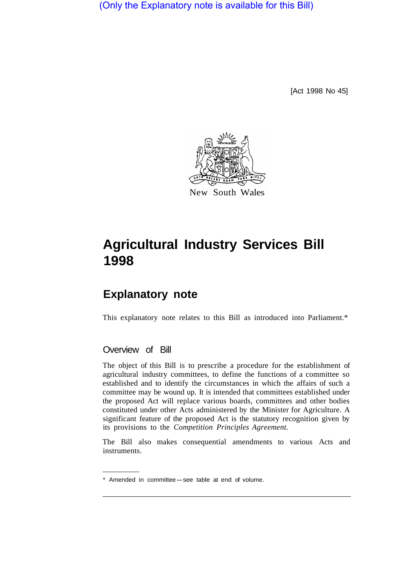(Only the Explanatory note is available for this Bill)

[Act 1998 No 45]



# **Agricultural Industry Services Bill 1998**

# **Explanatory note**

This explanatory note relates to this Bill as introduced into Parliament.\*

# Overview of Bill

The object of this Bill is to prescribe a procedure for the establishment of agricultural industry committees, to define the functions of a committee so established and to identify the circumstances in which the affairs of such a committee may be wound up. It is intended that committees established under the proposed Act will replace various boards, committees and other bodies constituted under other Acts administered by the Minister for Agriculture. A significant feature of the proposed Act is the statutory recognition given by its provisions to the *Competition Principles Agreement.* 

The Bill also makes consequential amendments to various Acts and instruments.

<sup>\*</sup> Amended in committee-see table at end of volume.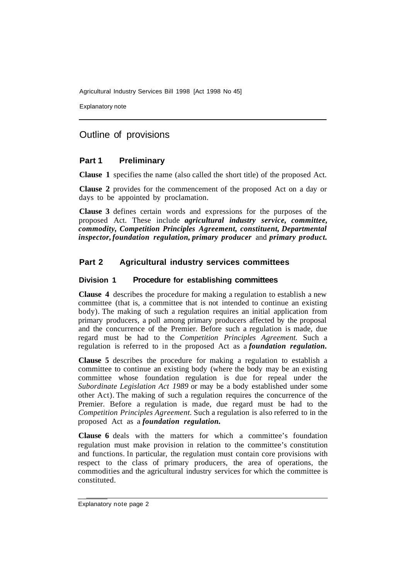Explanatory note

# Outline of provisions

# **Part 1 Preliminary**

**Clause 1** specifies the name (also called the short title) of the proposed Act.

**Clause 2** provides for the commencement of the proposed Act on a day or days to be appointed by proclamation.

**Clause 3** defines certain words and expressions for the purposes of the proposed Act. These include *agricultural industry service, committee, commodity, Competition Principles Agreement, constituent, Departmental inspector, foundation regulation, primary producer* and *primary product.* 

# **Part 2 Agricultural industry services committees**

## **Division 1 Procedure for establishing committees**

**Clause 4** describes the procedure for making a regulation to establish a new committee (that is, a committee that is not intended to continue an existing body). The making of such a regulation requires an initial application from primary producers, a poll among primary producers affected by the proposal and the concurrence of the Premier. Before such a regulation is made, due regard must be had to the *Competition Principles Agreement.* Such a regulation is referred to in the proposed Act as a *foundation regulation.* 

**Clause 5** describes the procedure for making a regulation to establish a committee to continue an existing body (where the body may be an existing committee whose foundation regulation is due for repeal under the *Subordinate Legislation Act 1989* or may be a body established under some other Act). The making of such a regulation requires the concurrence of the Premier. Before a regulation is made, due regard must be had to the *Competition Principles Agreement.* Such a regulation is also referred to in the proposed Act as a *foundation regulation.* 

**Clause 6** deals with the matters for which a committee's foundation regulation must make provision in relation to the committee's constitution and functions. In particular, the regulation must contain core provisions with respect to the class of primary producers, the area of operations, the commodities and the agricultural industry services for which the committee is constituted.

Explanatory note page 2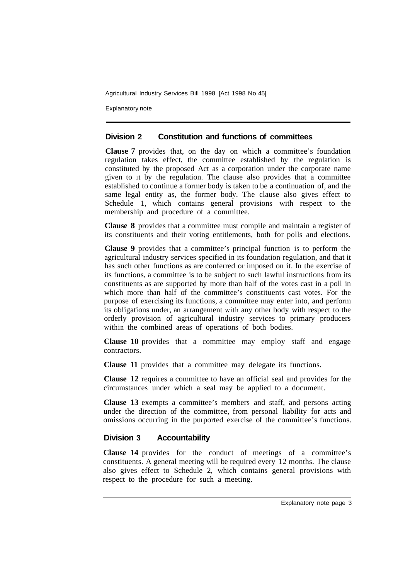Explanatory note

#### **Division 2 Constitution and functions of committees**

**Clause 7** provides that, on the day on which a committee's foundation regulation takes effect, the committee established by the regulation is constituted by the proposed Act as a corporation under the corporate name given to it by the regulation. The clause also provides that a committee established to continue a former body is taken to be a continuation of, and the same legal entity as, the former body. The clause also gives effect to Schedule 1, which contains general provisions with respect to the membership and procedure of a committee.

**Clause 8** provides that a committee must compile and maintain a register of its constituents and their voting entitlements, both for polls and elections.

**Clause 9** provides that a committee's principal function is to perform the agricultural industry services specified in its foundation regulation, and that it has such other functions as are conferred or imposed on it. In the exercise of its functions, a committee is to be subject to such lawful instructions from its constituents as are supported by more than half of the votes cast in a poll in which more than half of the committee's constituents cast votes. For the purpose of exercising its functions, a committee may enter into, and perform its obligations under, an arrangement with any other body with respect to the orderly provision of agricultural industry services to primary producers within the combined areas of operations of both bodies.

**Clause 10** provides that a committee may employ staff and engage contractors.

**Clause 11** provides that a committee may delegate its functions.

**Clause 12** requires a committee to have an official seal and provides for the circumstances under which a seal may be applied to a document.

**Clause 13** exempts a committee's members and staff, and persons acting under the direction of the committee, from personal liability for acts and omissions occurring in the purported exercise of the committee's functions.

## **Division 3 Accountability**

**Clause 14** provides for the conduct of meetings of a committee's constituents. A general meeting will be required every 12 months. The clause also gives effect to Schedule 2, which contains general provisions with respect to the procedure for such a meeting.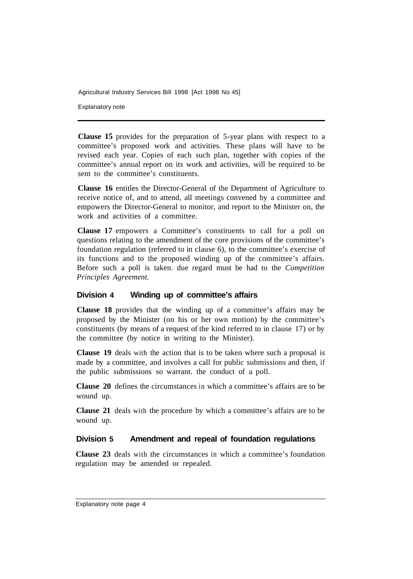Explanatory note

**Clause 15** provides for the preparation of 5-year plans with respect to a committee's proposed work and activities. These plans will have to be revised each year. Copies of each such plan, together with copies of the committee's annual report on its work and activities, will be required to be sent to the committee's constituents.

**Clause 16** entitles the Director-General of the Department of Agriculture to receive notice of, and to attend, all meetings convened by a committee and empowers the Director-General to monitor, and report to the Minister on, the work and activities of a committee.

**Clause 17** empowers a Committee's constituents to call for a poll on questions relating to the amendment of the core provisions of the committee's foundation regulation (referred to in clause 6), to the committee's exercise of its functions and to the proposed winding up of the committee's affairs. Before such a poll is taken. due regard must be had to the *Competition Principles Agreement.* 

## **Division 4 Winding up of committee's affairs**

**Clause 18** provides that the winding up of a committee's affairs may be proposed by the Minister (on his or her own motion) by the committee's constituents (by means of a request of the kind referred to in clause 17) or by the committee (by notice in writing to the Minister).

**Clause 19** deals with the action that is to be taken where such a proposal is made by a committee, and involves a call for public submissions and then, if the public submissions so warrant. the conduct of a poll.

**Clause 20** defines the circumstances in which a committee's affairs are to be wound up.

**Clause 21** deals with the procedure by which a committee's affairs are to be wound up.

# **Division 5 Amendment and repeal of foundation regulations**

**Clause 23** deals with the circumstances in which a committee's foundation regulation may be amended or repealed.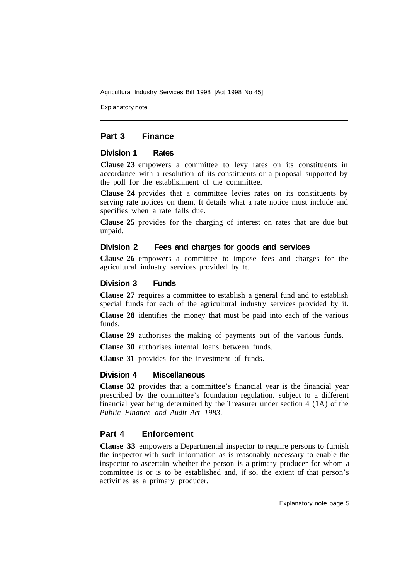Explanatory note

# **Part 3 Finance**

# **Division 1 Rates**

**Clause 23** empowers a committee to levy rates on its constituents in accordance with a resolution of its constituents or a proposal supported by the poll for the establishment of the committee.

**Clause 24** provides that a committee levies rates on its constituents by serving rate notices on them. It details what a rate notice must include and specifies when a rate falls due.

**Clause 25** provides for the charging of interest on rates that are due but unpaid.

## **Division 2 Fees and charges for goods and services**

**Clause 26** empowers a committee to impose fees and charges for the agricultural industry services provided by it.

# **Division 3 Funds**

**Clause 27** requires a committee to establish a general fund and to establish special funds for each of the agricultural industry services provided by it. **Clause 28** identifies the money that must be paid into each of the various

funds.

**Clause 29** authorises the making of payments out of the various funds.

**Clause 30** authorises internal loans between funds.

**Clause 31** provides for the investment of funds.

## **Division 4 Miscellaneous**

**Clause 32** provides that a committee's financial year is the financial year prescribed by the committee's foundation regulation. subject to a different financial year being determined by the Treasurer under section 4 (1A) of the *Public Finance and Audit Act 1983.* 

# **Part 4 Enforcement**

**Clause 33** empowers a Departmental inspector to require persons to furnish the inspector with such information as is reasonably necessary to enable the inspector to ascertain whether the person is a primary producer for whom a committee is or is to be established and, if so, the extent of that person's activities as a primary producer.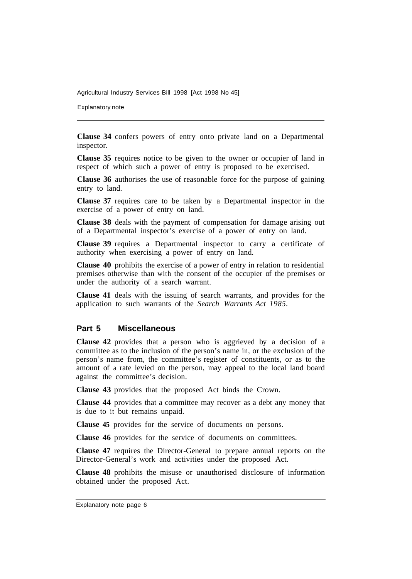Explanatory note

**Clause 34** confers powers of entry onto private land on a Departmental inspector.

**Clause 35** requires notice to be given to the owner or occupier of land in respect of which such a power of entry is proposed to be exercised.

**Clause 36** authorises the use of reasonable force for the purpose of gaining entry to land.

**Clause 37** requires care to be taken by a Departmental inspector in the exercise of a power of entry on land.

**Clause 38** deals with the payment of compensation for damage arising out of a Departmental inspector's exercise of a power of entry on land.

**Clause 39** requires a Departmental inspector to carry a certificate of authority when exercising a power of entry on land.

**Clause 40** prohibits the exercise of a power of entry in relation to residential premises otherwise than with the consent of the occupier of the premises or under the authority of a search warrant.

**Clause 41** deals with the issuing of search warrants, and provides for the application to such warrants of the *Search Warrants Act 1985.* 

#### **Part 5 Miscellaneous**

**Clause 42** provides that a person who is aggrieved by a decision of a committee as to the inclusion of the person's name in, or the exclusion of the person's name from, the committee's register of constituents, or as to the amount of a rate levied on the person, may appeal to the local land board against the committee's decision.

**Clause 43** provides that the proposed Act binds the Crown.

**Clause 44** provides that a committee may recover as a debt any money that is due to it but remains unpaid.

**Clause 45** provides for the service of documents on persons.

**Clause 46** provides for the service of documents on committees.

**Clause 47** requires the Director-General to prepare annual reports on the Director-General's work and activities under the proposed Act.

**Clause 48** prohibits the misuse or unauthorised disclosure of information obtained under the proposed Act.

Explanatory note page 6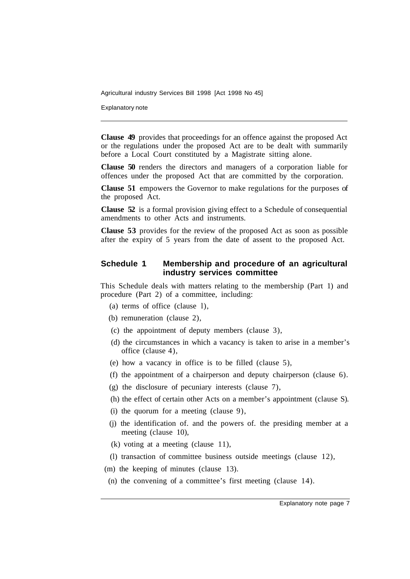Explanatory note

**Clause 49** provides that proceedings for an offence against the proposed Act or the regulations under the proposed Act are to be dealt with summarily before a Local Court constituted by a Magistrate sitting alone.

**Clause 50** renders the directors and managers of a corporation liable for offences under the proposed Act that are committed by the corporation.

**Clause 51** empowers the Governor to make regulations for the purposes of the proposed Act.

**Clause 52** is a formal provision giving effect to a Schedule of consequential amendments to other Acts and instruments.

**Clause 53** provides for the review of the proposed Act as soon as possible after the expiry of 5 years from the date of assent to the proposed Act.

#### **Schedule 1 Membership and procedure of an agricultural industry services committee**

This Schedule deals with matters relating to the membership (Part 1) and procedure (Part 2) of a committee, including:

- (a) terms of office (clause l),
- (b) remuneration (clause 2),
- (c) the appointment of deputy members (clause 3),
- (d) the circumstances in which a vacancy is taken to arise in a member's office (clause 4),
- (e) how a vacancy in office is to be filled (clause 5),
- (f) the appointment of a chairperson and deputy chairperson (clause 6).
- (g) the disclosure of pecuniary interests (clause 7),
- (h) the effect of certain other Acts on a member's appointment (clause S).
- (i) the quorum for a meeting (clause 9),
- (j) the identification of. and the powers of. the presiding member at a meeting (clause 10),
- (k) voting at a meeting (clause 11),
- (l) transaction of committee business outside meetings (clause 12),
- (m) the keeping of minutes (clause 13).
- (n) the convening of a committee's first meeting (clause 14).